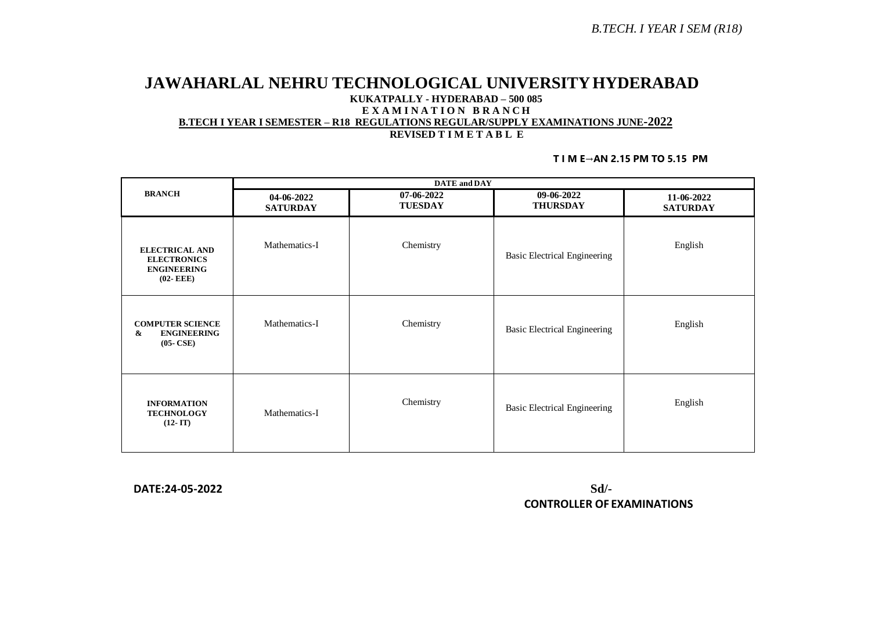### **JAWAHARLAL NEHRU TECHNOLOGICAL UNIVERSITYHYDERABAD KUKATPALLY - HYDERABAD – 500 085 E X A M I N A T I O N B R A N C H B.TECH I YEAR I SEMESTER – R18 REGULATIONS REGULAR/SUPPLY EXAMINATIONS JUNE-2022 REVISED T I M E T A B L E**

#### **T I M E→AN 2.15 PM TO 5.15 PM**

| <b>BRANCH</b>                                                                     | <b>DATE</b> and <b>DAY</b>    |                              |                                     |                               |  |
|-----------------------------------------------------------------------------------|-------------------------------|------------------------------|-------------------------------------|-------------------------------|--|
|                                                                                   | 04-06-2022<br><b>SATURDAY</b> | 07-06-2022<br><b>TUESDAY</b> | 09-06-2022<br><b>THURSDAY</b>       | 11-06-2022<br><b>SATURDAY</b> |  |
| <b>ELECTRICAL AND</b><br><b>ELECTRONICS</b><br><b>ENGINEERING</b><br>$(02 - EEE)$ | Mathematics-I                 | Chemistry                    | <b>Basic Electrical Engineering</b> | English                       |  |
| <b>COMPUTER SCIENCE</b><br>&<br><b>ENGINEERING</b><br>$(05-CSE)$                  | Mathematics-I                 | Chemistry                    | <b>Basic Electrical Engineering</b> | English                       |  |
| <b>INFORMATION</b><br><b>TECHNOLOGY</b><br>$(12 - IT)$                            | Mathematics-I                 | Chemistry                    | <b>Basic Electrical Engineering</b> | English                       |  |

 **DATE:24-05-2022 Sd/-**

 **CONTROLLER OF EXAMINATIONS**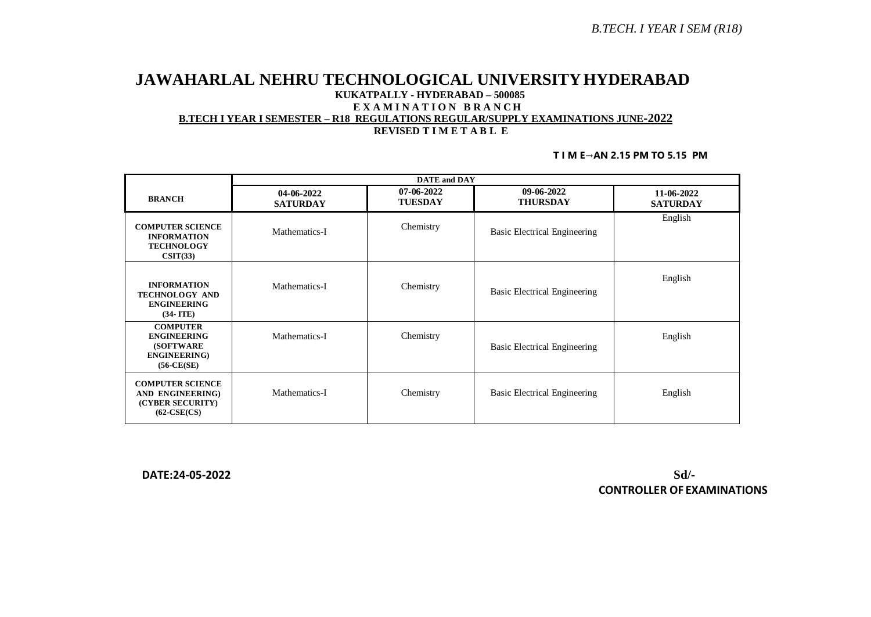# **JAWAHARLAL NEHRU TECHNOLOGICAL UNIVERSITYHYDERABAD KUKATPALLY - HYDERABAD – 500085 E X A M I N A T I O N B R A N C H B.TECH I YEAR I SEMESTER – R18 REGULATIONS REGULAR/SUPPLY EXAMINATIONS JUNE-2022 REVISED T I M E T A B L E**

#### **T I M E→AN 2.15 PM TO 5.15 PM**

|                                                                                                     | <b>DATE</b> and <b>DAY</b>    |                              |                                     |                               |  |
|-----------------------------------------------------------------------------------------------------|-------------------------------|------------------------------|-------------------------------------|-------------------------------|--|
| <b>BRANCH</b>                                                                                       | 04-06-2022<br><b>SATURDAY</b> | 07-06-2022<br><b>TUESDAY</b> | 09-06-2022<br><b>THURSDAY</b>       | 11-06-2022<br><b>SATURDAY</b> |  |
| <b>COMPUTER SCIENCE</b><br><b>INFORMATION</b><br><b>TECHNOLOGY</b><br>CSIT(33)                      | Mathematics-I                 | Chemistry                    | <b>Basic Electrical Engineering</b> | English                       |  |
| <b>INFORMATION</b><br><b>TECHNOLOGY AND</b><br><b>ENGINEERING</b><br>$(34-ITE)$                     | Mathematics-I                 | Chemistry                    | Basic Electrical Engineering        | English                       |  |
| <b>COMPUTER</b><br><b>ENGINEERING</b><br><b>(SOFTWARE)</b><br><b>ENGINEERING</b> )<br>$(56-CE(SE))$ | Mathematics-I                 | Chemistry                    | <b>Basic Electrical Engineering</b> | English                       |  |
| <b>COMPUTER SCIENCE</b><br>AND ENGINEERING)<br>(CYBER SECURITY)<br>$(62-CSE(CS)$                    | Mathematics-I                 | Chemistry                    | Basic Electrical Engineering        | English                       |  |

 **DATE:24-05-2022 Sd/- CONTROLLER OF EXAMINATIONS**